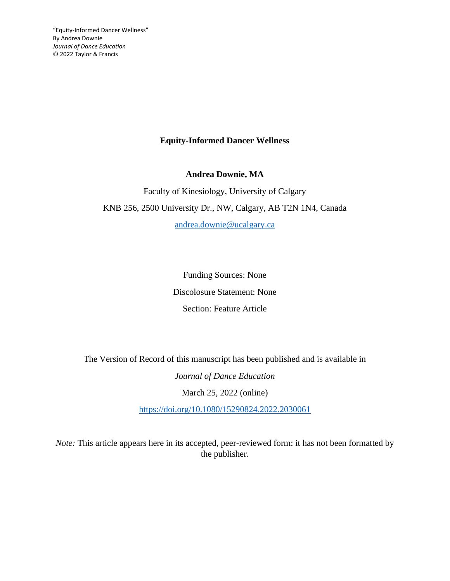# **Equity-Informed Dancer Wellness**

**Andrea Downie, MA**

Faculty of Kinesiology, University of Calgary KNB 256, 2500 University Dr., NW, Calgary, AB T2N 1N4, Canada

[andrea.downie@ucalgary.ca](mailto:andrea.downie@ucalgary.ca)

Funding Sources: None Discolosure Statement: None Section: Feature Article

The Version of Record of this manuscript has been published and is available in

*Journal of Dance Education*  March 25, 2022 (online)

<https://doi.org/10.1080/15290824.2022.2030061>

*Note:* This article appears here in its accepted, peer-reviewed form: it has not been formatted by the publisher.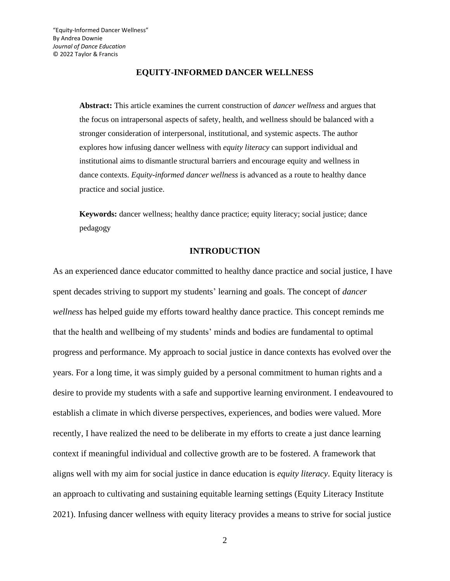### **EQUITY-INFORMED DANCER WELLNESS**

**Abstract:** This article examines the current construction of *dancer wellness* and argues that the focus on intrapersonal aspects of safety, health, and wellness should be balanced with a stronger consideration of interpersonal, institutional, and systemic aspects. The author explores how infusing dancer wellness with *equity literacy* can support individual and institutional aims to dismantle structural barriers and encourage equity and wellness in dance contexts. *Equity-informed dancer wellness* is advanced as a route to healthy dance practice and social justice.

**Keywords:** dancer wellness; healthy dance practice; equity literacy; social justice; dance pedagogy

### **INTRODUCTION**

As an experienced dance educator committed to healthy dance practice and social justice, I have spent decades striving to support my students' learning and goals. The concept of *dancer wellness* has helped guide my efforts toward healthy dance practice. This concept reminds me that the health and wellbeing of my students' minds and bodies are fundamental to optimal progress and performance. My approach to social justice in dance contexts has evolved over the years. For a long time, it was simply guided by a personal commitment to human rights and a desire to provide my students with a safe and supportive learning environment. I endeavoured to establish a climate in which diverse perspectives, experiences, and bodies were valued. More recently, I have realized the need to be deliberate in my efforts to create a just dance learning context if meaningful individual and collective growth are to be fostered. A framework that aligns well with my aim for social justice in dance education is *equity literacy*. Equity literacy is an approach to cultivating and sustaining equitable learning settings (Equity Literacy Institute 2021). Infusing dancer wellness with equity literacy provides a means to strive for social justice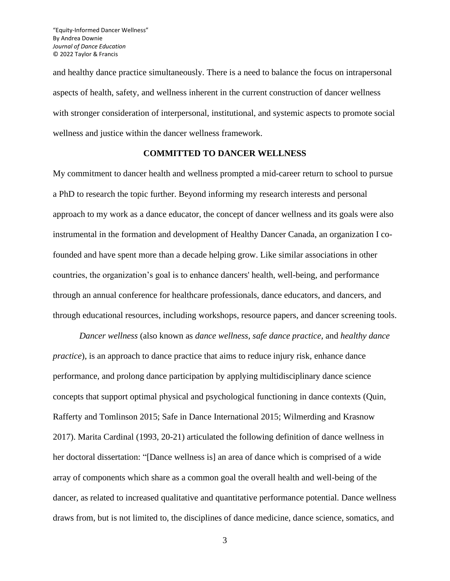and healthy dance practice simultaneously. There is a need to balance the focus on intrapersonal aspects of health, safety, and wellness inherent in the current construction of dancer wellness with stronger consideration of interpersonal, institutional, and systemic aspects to promote social wellness and justice within the dancer wellness framework.

# **COMMITTED TO DANCER WELLNESS**

My commitment to dancer health and wellness prompted a mid-career return to school to pursue a PhD to research the topic further. Beyond informing my research interests and personal approach to my work as a dance educator, the concept of dancer wellness and its goals were also instrumental in the formation and development of Healthy Dancer Canada, an organization I cofounded and have spent more than a decade helping grow. Like similar associations in other countries, the organization's goal is to enhance dancers' health, well-being, and performance through an annual conference for healthcare professionals, dance educators, and dancers, and through educational resources, including workshops, resource papers, and dancer screening tools.

*Dancer wellness* (also known as *dance wellness, safe dance practice,* and *healthy dance practice*), is an approach to dance practice that aims to reduce injury risk, enhance dance performance, and prolong dance participation by applying multidisciplinary dance science concepts that support optimal physical and psychological functioning in dance contexts (Quin, Rafferty and Tomlinson 2015; Safe in Dance International 2015; Wilmerding and Krasnow 2017). Marita Cardinal (1993, 20-21) articulated the following definition of dance wellness in her doctoral dissertation: "[Dance wellness is] an area of dance which is comprised of a wide array of components which share as a common goal the overall health and well-being of the dancer, as related to increased qualitative and quantitative performance potential. Dance wellness draws from, but is not limited to, the disciplines of dance medicine, dance science, somatics, and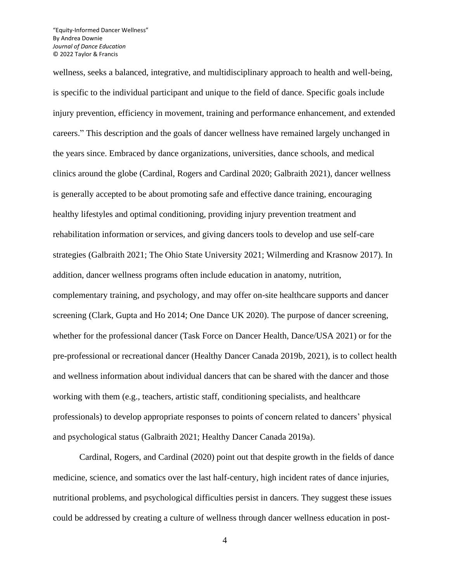wellness, seeks a balanced, integrative, and multidisciplinary approach to health and well-being, is specific to the individual participant and unique to the field of dance. Specific goals include injury prevention, efficiency in movement, training and performance enhancement, and extended careers." This description and the goals of dancer wellness have remained largely unchanged in the years since. Embraced by dance organizations, universities, dance schools, and medical clinics around the globe (Cardinal, Rogers and Cardinal 2020; Galbraith 2021), dancer wellness is generally accepted to be about promoting safe and effective dance training, encouraging healthy lifestyles and optimal conditioning, providing injury prevention treatment and rehabilitation information orservices, and giving dancers tools to develop and use self-care strategies (Galbraith 2021; The Ohio State University 2021; Wilmerding and Krasnow 2017). In addition, dancer wellness programs often include education in anatomy, nutrition, complementary training, and psychology, and may offer on-site healthcare supports and dancer screening (Clark, Gupta and Ho 2014; One Dance UK 2020). The purpose of dancer screening, whether for the professional dancer (Task Force on Dancer Health, Dance/USA 2021) or for the pre-professional or recreational dancer (Healthy Dancer Canada 2019b, 2021), is to collect health and wellness information about individual dancers that can be shared with the dancer and those working with them (e.g., teachers, artistic staff, conditioning specialists, and healthcare professionals) to develop appropriate responses to points of concern related to dancers' physical and psychological status (Galbraith 2021; Healthy Dancer Canada 2019a).

Cardinal, Rogers, and Cardinal (2020) point out that despite growth in the fields of dance medicine, science, and somatics over the last half-century, high incident rates of dance injuries, nutritional problems, and psychological difficulties persist in dancers. They suggest these issues could be addressed by creating a culture of wellness through dancer wellness education in post-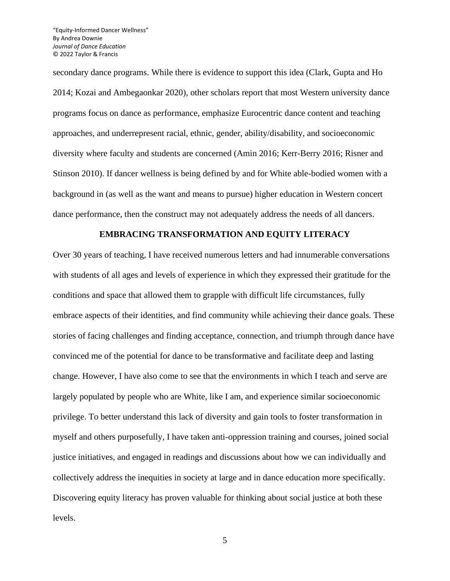secondary dance programs. While there is evidence to support this idea (Clark, Gupta and Ho 2014; Kozai and Ambegaonkar 2020), other scholars report that most Western university dance programs focus on dance as performance, emphasize Eurocentric dance content and teaching approaches, and underrepresent racial, ethnic, gender, ability/disability, and socioeconomic diversity where faculty and students are concerned (Amin 2016; Kerr-Berry 2016; Risner and Stinson 2010). If dancer wellness is being defined by and for White able-bodied women with a background in (as well as the want and means to pursue) higher education in Western concert dance performance, then the construct may not adequately address the needs of all dancers.

### **EMBRACING TRANSFORMATION AND EQUITY LITERACY**

Over 30 years of teaching, I have received numerous letters and had innumerable conversations with students of all ages and levels of experience in which they expressed their gratitude for the conditions and space that allowed them to grapple with difficult life circumstances, fully embrace aspects of their identities, and find community while achieving their dance goals. These stories of facing challenges and finding acceptance, connection, and triumph through dance have convinced me of the potential for dance to be transformative and facilitate deep and lasting change. However, I have also come to see that the environments in which I teach and serve are largely populated by people who are White, like I am, and experience similar socioeconomic privilege. To better understand this lack of diversity and gain tools to foster transformation in myself and others purposefully, I have taken anti-oppression training and courses, joined social justice initiatives, and engaged in readings and discussions about how we can individually and collectively address the inequities in society at large and in dance education more specifically. Discovering equity literacy has proven valuable for thinking about social justice at both these levels.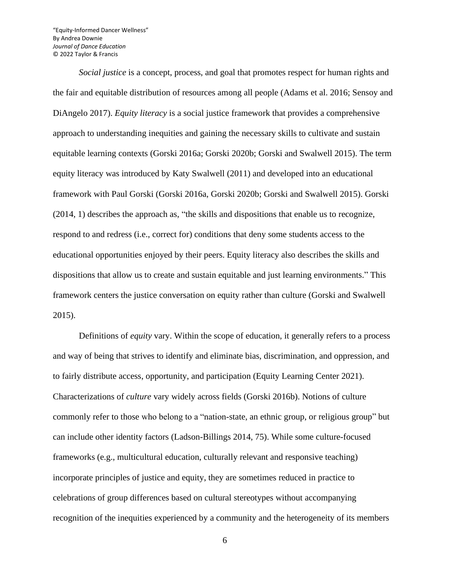*Social justice* is a concept, process, and goal that promotes respect for human rights and the fair and equitable distribution of resources among all people (Adams et al. 2016; Sensoy and DiAngelo 2017). *Equity literacy* is a social justice framework that provides a comprehensive approach to understanding inequities and gaining the necessary skills to cultivate and sustain equitable learning contexts (Gorski 2016a; Gorski 2020b; Gorski and Swalwell 2015). The term equity literacy was introduced by Katy Swalwell (2011) and developed into an educational framework with Paul Gorski (Gorski 2016a, Gorski 2020b; Gorski and Swalwell 2015). Gorski (2014, 1) describes the approach as, "the skills and dispositions that enable us to recognize, respond to and redress (i.e., correct for) conditions that deny some students access to the educational opportunities enjoyed by their peers. Equity literacy also describes the skills and dispositions that allow us to create and sustain equitable and just learning environments." This framework centers the justice conversation on equity rather than culture (Gorski and Swalwell 2015).

Definitions of *equity* vary. Within the scope of education, it generally refers to a process and way of being that strives to identify and eliminate bias, discrimination, and oppression, and to fairly distribute access, opportunity, and participation (Equity Learning Center 2021). Characterizations of *culture* vary widely across fields (Gorski 2016b). Notions of culture commonly refer to those who belong to a "nation-state, an ethnic group, or religious group" but can include other identity factors (Ladson-Billings 2014, 75). While some culture-focused frameworks (e.g., multicultural education, culturally relevant and responsive teaching) incorporate principles of justice and equity, they are sometimes reduced in practice to celebrations of group differences based on cultural stereotypes without accompanying recognition of the inequities experienced by a community and the heterogeneity of its members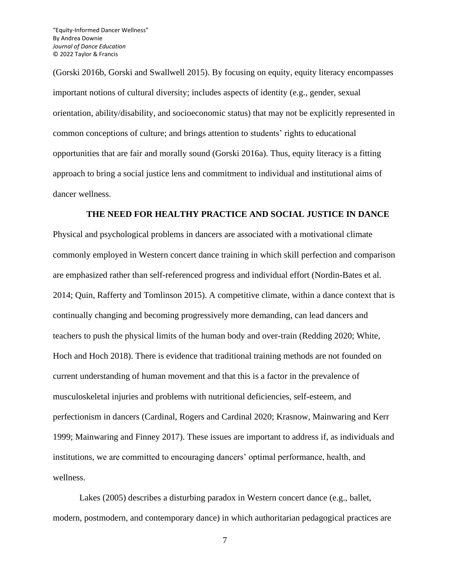(Gorski 2016b, Gorski and Swallwell 2015). By focusing on equity, equity literacy encompasses important notions of cultural diversity; includes aspects of identity (e.g., gender, sexual orientation, ability/disability, and socioeconomic status) that may not be explicitly represented in common conceptions of culture; and brings attention to students' rights to educational opportunities that are fair and morally sound (Gorski 2016a). Thus, equity literacy is a fitting approach to bring a social justice lens and commitment to individual and institutional aims of dancer wellness.

# **THE NEED FOR HEALTHY PRACTICE AND SOCIAL JUSTICE IN DANCE**

Physical and psychological problems in dancers are associated with a motivational climate commonly employed in Western concert dance training in which skill perfection and comparison are emphasized rather than self-referenced progress and individual effort (Nordin-Bates et al. 2014; Quin, Rafferty and Tomlinson 2015). A competitive climate, within a dance context that is continually changing and becoming progressively more demanding, can lead dancers and teachers to push the physical limits of the human body and over-train (Redding 2020; White, Hoch and Hoch 2018). There is evidence that traditional training methods are not founded on current understanding of human movement and that this is a factor in the prevalence of musculoskeletal injuries and problems with nutritional deficiencies, self-esteem, and perfectionism in dancers (Cardinal, Rogers and Cardinal 2020; Krasnow, Mainwaring and Kerr 1999; Mainwaring and Finney 2017). These issues are important to address if, as individuals and institutions, we are committed to encouraging dancers' optimal performance, health, and wellness.

Lakes (2005) describes a disturbing paradox in Western concert dance (e.g., ballet, modern, postmodern, and contemporary dance) in which authoritarian pedagogical practices are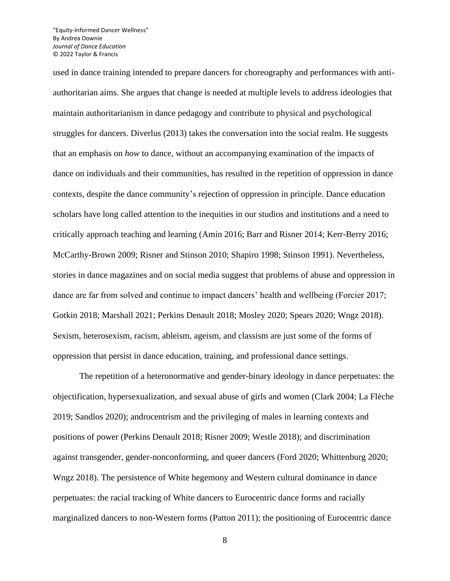used in dance training intended to prepare dancers for choreography and performances with antiauthoritarian aims. She argues that change is needed at multiple levels to address ideologies that maintain authoritarianism in dance pedagogy and contribute to physical and psychological struggles for dancers. Diverlus (2013) takes the conversation into the social realm. He suggests that an emphasis on *how* to dance, without an accompanying examination of the impacts of dance on individuals and their communities, has resulted in the repetition of oppression in dance contexts, despite the dance community's rejection of oppression in principle. Dance education scholars have long called attention to the inequities in our studios and institutions and a need to critically approach teaching and learning (Amin 2016; Barr and Risner 2014; Kerr-Berry 2016; McCarthy-Brown 2009; Risner and Stinson 2010; Shapiro 1998; Stinson 1991). Nevertheless, stories in dance magazines and on social media suggest that problems of abuse and oppression in dance are far from solved and continue to impact dancers' health and wellbeing (Forcier 2017; Gotkin 2018; Marshall 2021; Perkins Denault 2018; Mosley 2020; Spears 2020; Wngz 2018). Sexism, heterosexism, racism, ableism, ageism, and classism are just some of the forms of oppression that persist in dance education, training, and professional dance settings.

The repetition of a heteronormative and gender-binary ideology in dance perpetuates: the objectification, hypersexualization, and sexual abuse of girls and women (Clark 2004; La Flèche 2019; Sandlos 2020); androcentrism and the privileging of males in learning contexts and positions of power (Perkins Denault 2018; Risner 2009; Westle 2018); and discrimination against transgender, gender-nonconforming, and queer dancers (Ford 2020; Whittenburg 2020; Wngz 2018). The persistence of White hegemony and Western cultural dominance in dance perpetuates: the racial tracking of White dancers to Eurocentric dance forms and racially marginalized dancers to non-Western forms (Patton 2011); the positioning of Eurocentric dance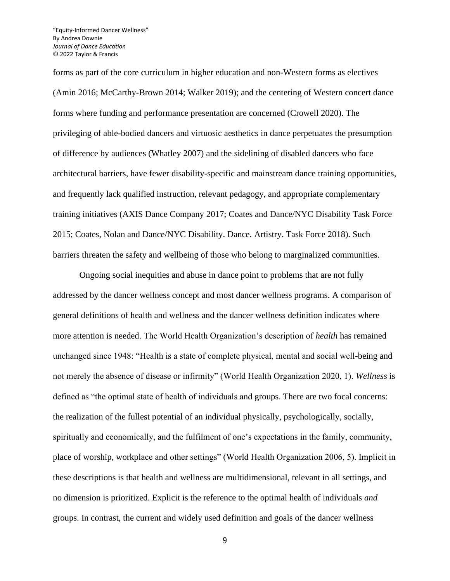forms as part of the core curriculum in higher education and non-Western forms as electives (Amin 2016; McCarthy-Brown 2014; Walker 2019); and the centering of Western concert dance forms where funding and performance presentation are concerned (Crowell 2020). The privileging of able-bodied dancers and virtuosic aesthetics in dance perpetuates the presumption of difference by audiences (Whatley 2007) and the sidelining of disabled dancers who face architectural barriers, have fewer disability-specific and mainstream dance training opportunities, and frequently lack qualified instruction, relevant pedagogy, and appropriate complementary training initiatives (AXIS Dance Company 2017; Coates and Dance/NYC Disability Task Force 2015; Coates, Nolan and Dance/NYC Disability. Dance. Artistry. Task Force 2018). Such barriers threaten the safety and wellbeing of those who belong to marginalized communities.

Ongoing social inequities and abuse in dance point to problems that are not fully addressed by the dancer wellness concept and most dancer wellness programs. A comparison of general definitions of health and wellness and the dancer wellness definition indicates where more attention is needed. The World Health Organization's description of *health* has remained unchanged since 1948: "Health is a state of complete physical, mental and social well-being and not merely the absence of disease or infirmity" (World Health Organization 2020, 1). *Wellness* is defined as "the optimal state of health of individuals and groups. There are two focal concerns: the realization of the fullest potential of an individual physically, psychologically, socially, spiritually and economically, and the fulfilment of one's expectations in the family, community, place of worship, workplace and other settings" (World Health Organization 2006, 5). Implicit in these descriptions is that health and wellness are multidimensional, relevant in all settings, and no dimension is prioritized. Explicit is the reference to the optimal health of individuals *and* groups. In contrast, the current and widely used definition and goals of the dancer wellness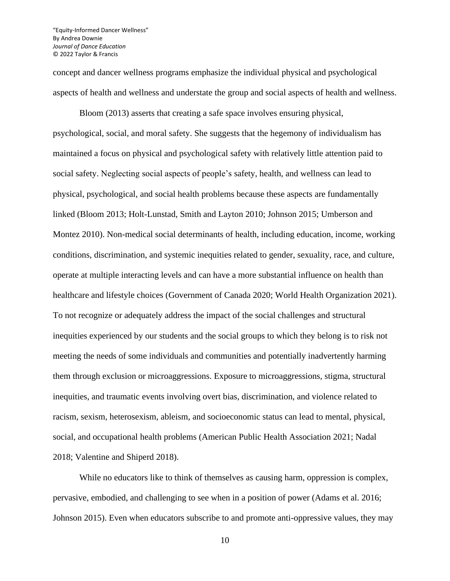concept and dancer wellness programs emphasize the individual physical and psychological aspects of health and wellness and understate the group and social aspects of health and wellness.

Bloom (2013) asserts that creating a safe space involves ensuring physical, psychological, social, and moral safety. She suggests that the hegemony of individualism has maintained a focus on physical and psychological safety with relatively little attention paid to social safety. Neglecting social aspects of people's safety, health, and wellness can lead to physical, psychological, and social health problems because these aspects are fundamentally linked (Bloom 2013; Holt-Lunstad, Smith and Layton 2010; Johnson 2015; Umberson and Montez 2010). Non-medical social determinants of health, including education, income, working conditions, discrimination, and systemic inequities related to gender, sexuality, race, and culture, operate at multiple interacting levels and can have a more substantial influence on health than healthcare and lifestyle choices (Government of Canada 2020; World Health Organization 2021). To not recognize or adequately address the impact of the social challenges and structural inequities experienced by our students and the social groups to which they belong is to risk not meeting the needs of some individuals and communities and potentially inadvertently harming them through exclusion or microaggressions. Exposure to microaggressions, stigma, structural inequities, and traumatic events involving overt bias, discrimination, and violence related to racism, sexism, heterosexism, ableism, and socioeconomic status can lead to mental, physical, social, and occupational health problems (American Public Health Association 2021; Nadal 2018; Valentine and Shiperd 2018).

While no educators like to think of themselves as causing harm, oppression is complex, pervasive, embodied, and challenging to see when in a position of power (Adams et al. 2016; Johnson 2015). Even when educators subscribe to and promote anti-oppressive values, they may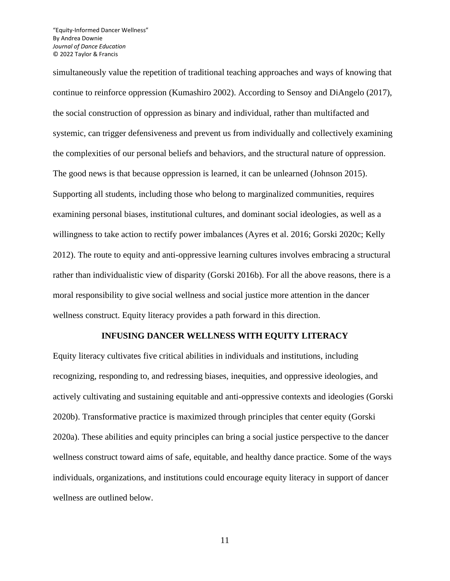simultaneously value the repetition of traditional teaching approaches and ways of knowing that continue to reinforce oppression (Kumashiro 2002). According to Sensoy and DiAngelo (2017), the social construction of oppression as binary and individual, rather than multifacted and systemic, can trigger defensiveness and prevent us from individually and collectively examining the complexities of our personal beliefs and behaviors, and the structural nature of oppression. The good news is that because oppression is learned, it can be unlearned (Johnson 2015). Supporting all students, including those who belong to marginalized communities, requires examining personal biases, institutional cultures, and dominant social ideologies, as well as a willingness to take action to rectify power imbalances (Ayres et al. 2016; Gorski 2020c; Kelly 2012). The route to equity and anti-oppressive learning cultures involves embracing a structural rather than individualistic view of disparity (Gorski 2016b). For all the above reasons, there is a moral responsibility to give social wellness and social justice more attention in the dancer wellness construct. Equity literacy provides a path forward in this direction.

### **INFUSING DANCER WELLNESS WITH EQUITY LITERACY**

Equity literacy cultivates five critical abilities in individuals and institutions, including recognizing, responding to, and redressing biases, inequities, and oppressive ideologies, and actively cultivating and sustaining equitable and anti-oppressive contexts and ideologies (Gorski 2020b). Transformative practice is maximized through principles that center equity (Gorski 2020a). These abilities and equity principles can bring a social justice perspective to the dancer wellness construct toward aims of safe, equitable, and healthy dance practice. Some of the ways individuals, organizations, and institutions could encourage equity literacy in support of dancer wellness are outlined below.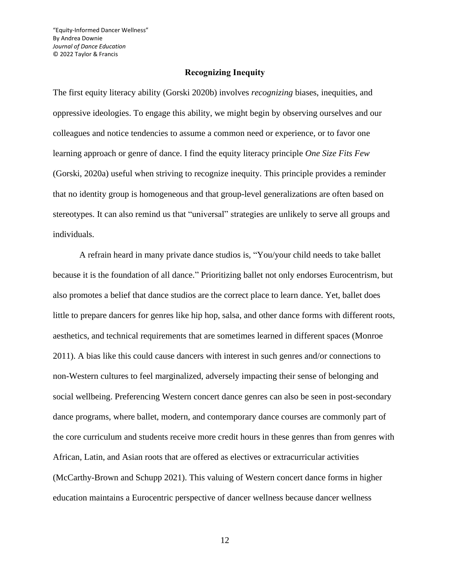# **Recognizing Inequity**

The first equity literacy ability (Gorski 2020b) involves *recognizing* biases, inequities, and oppressive ideologies. To engage this ability, we might begin by observing ourselves and our colleagues and notice tendencies to assume a common need or experience, or to favor one learning approach or genre of dance. I find the equity literacy principle *One Size Fits Few* (Gorski, 2020a) useful when striving to recognize inequity. This principle provides a reminder that no identity group is homogeneous and that group-level generalizations are often based on stereotypes. It can also remind us that "universal" strategies are unlikely to serve all groups and individuals.

A refrain heard in many private dance studios is, "You/your child needs to take ballet because it is the foundation of all dance." Prioritizing ballet not only endorses Eurocentrism, but also promotes a belief that dance studios are the correct place to learn dance. Yet, ballet does little to prepare dancers for genres like hip hop, salsa, and other dance forms with different roots, aesthetics, and technical requirements that are sometimes learned in different spaces (Monroe 2011). A bias like this could cause dancers with interest in such genres and/or connections to non-Western cultures to feel marginalized, adversely impacting their sense of belonging and social wellbeing. Preferencing Western concert dance genres can also be seen in post-secondary dance programs, where ballet, modern, and contemporary dance courses are commonly part of the core curriculum and students receive more credit hours in these genres than from genres with African, Latin, and Asian roots that are offered as electives or extracurricular activities (McCarthy-Brown and Schupp 2021). This valuing of Western concert dance forms in higher education maintains a Eurocentric perspective of dancer wellness because dancer wellness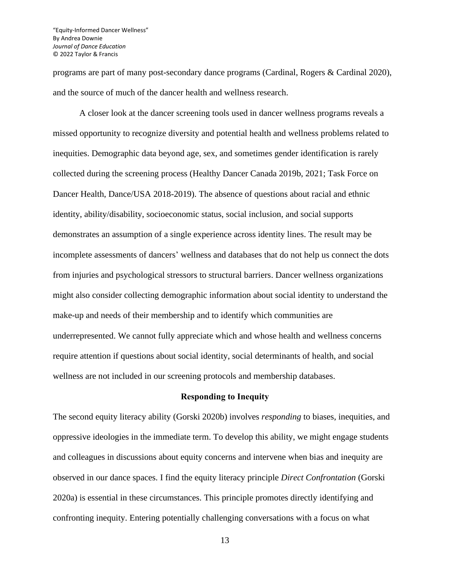programs are part of many post-secondary dance programs (Cardinal, Rogers & Cardinal 2020), and the source of much of the dancer health and wellness research.

A closer look at the dancer screening tools used in dancer wellness programs reveals a missed opportunity to recognize diversity and potential health and wellness problems related to inequities. Demographic data beyond age, sex, and sometimes gender identification is rarely collected during the screening process (Healthy Dancer Canada 2019b, 2021; Task Force on Dancer Health, Dance/USA 2018-2019). The absence of questions about racial and ethnic identity, ability/disability, socioeconomic status, social inclusion, and social supports demonstrates an assumption of a single experience across identity lines. The result may be incomplete assessments of dancers' wellness and databases that do not help us connect the dots from injuries and psychological stressors to structural barriers. Dancer wellness organizations might also consider collecting demographic information about social identity to understand the make-up and needs of their membership and to identify which communities are underrepresented. We cannot fully appreciate which and whose health and wellness concerns require attention if questions about social identity, social determinants of health, and social wellness are not included in our screening protocols and membership databases.

### **Responding to Inequity**

The second equity literacy ability (Gorski 2020b) involves *responding* to biases, inequities, and oppressive ideologies in the immediate term. To develop this ability, we might engage students and colleagues in discussions about equity concerns and intervene when bias and inequity are observed in our dance spaces. I find the equity literacy principle *Direct Confrontation* (Gorski 2020a) is essential in these circumstances. This principle promotes directly identifying and confronting inequity. Entering potentially challenging conversations with a focus on what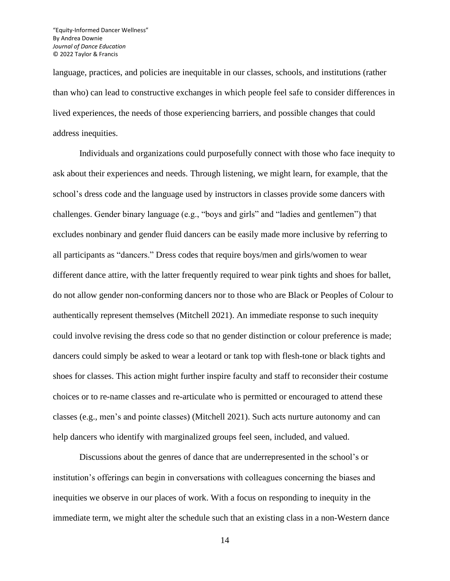language, practices, and policies are inequitable in our classes, schools, and institutions (rather than who) can lead to constructive exchanges in which people feel safe to consider differences in lived experiences, the needs of those experiencing barriers, and possible changes that could address inequities.

Individuals and organizations could purposefully connect with those who face inequity to ask about their experiences and needs. Through listening, we might learn, for example, that the school's dress code and the language used by instructors in classes provide some dancers with challenges. Gender binary language (e.g., "boys and girls" and "ladies and gentlemen") that excludes nonbinary and gender fluid dancers can be easily made more inclusive by referring to all participants as "dancers." Dress codes that require boys/men and girls/women to wear different dance attire, with the latter frequently required to wear pink tights and shoes for ballet, do not allow gender non-conforming dancers nor to those who are Black or Peoples of Colour to authentically represent themselves (Mitchell 2021). An immediate response to such inequity could involve revising the dress code so that no gender distinction or colour preference is made; dancers could simply be asked to wear a leotard or tank top with flesh-tone or black tights and shoes for classes. This action might further inspire faculty and staff to reconsider their costume choices or to re-name classes and re-articulate who is permitted or encouraged to attend these classes (e.g., men's and pointe classes) (Mitchell 2021). Such acts nurture autonomy and can help dancers who identify with marginalized groups feel seen, included, and valued.

Discussions about the genres of dance that are underrepresented in the school's or institution's offerings can begin in conversations with colleagues concerning the biases and inequities we observe in our places of work. With a focus on responding to inequity in the immediate term, we might alter the schedule such that an existing class in a non-Western dance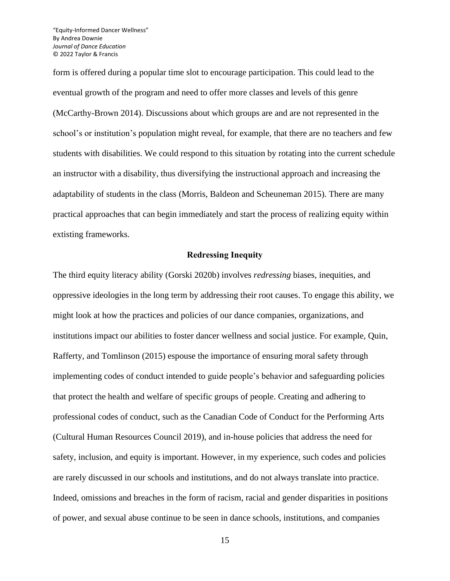form is offered during a popular time slot to encourage participation. This could lead to the eventual growth of the program and need to offer more classes and levels of this genre (McCarthy-Brown 2014). Discussions about which groups are and are not represented in the school's or institution's population might reveal, for example, that there are no teachers and few students with disabilities. We could respond to this situation by rotating into the current schedule an instructor with a disability, thus diversifying the instructional approach and increasing the adaptability of students in the class (Morris, Baldeon and Scheuneman 2015). There are many practical approaches that can begin immediately and start the process of realizing equity within extisting frameworks.

### **Redressing Inequity**

The third equity literacy ability (Gorski 2020b) involves *redressing* biases, inequities, and oppressive ideologies in the long term by addressing their root causes. To engage this ability, we might look at how the practices and policies of our dance companies, organizations, and institutions impact our abilities to foster dancer wellness and social justice. For example, Quin, Rafferty, and Tomlinson (2015) espouse the importance of ensuring moral safety through implementing codes of conduct intended to guide people's behavior and safeguarding policies that protect the health and welfare of specific groups of people. Creating and adhering to professional codes of conduct, such as the Canadian Code of Conduct for the Performing Arts (Cultural Human Resources Council 2019), and in-house policies that address the need for safety, inclusion, and equity is important. However, in my experience, such codes and policies are rarely discussed in our schools and institutions, and do not always translate into practice. Indeed, omissions and breaches in the form of racism, racial and gender disparities in positions of power, and sexual abuse continue to be seen in dance schools, institutions, and companies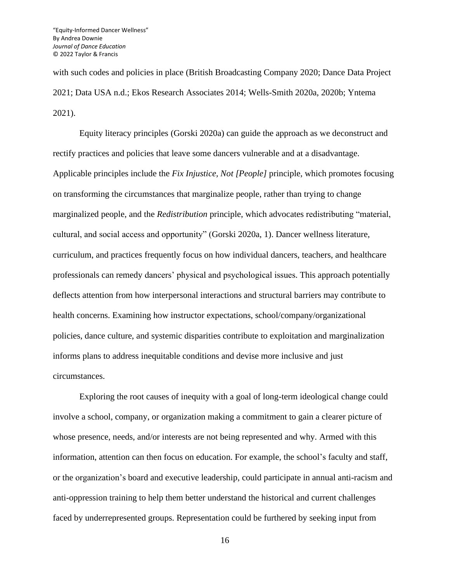with such codes and policies in place (British Broadcasting Company 2020; Dance Data Project 2021; Data USA n.d.; Ekos Research Associates 2014; Wells-Smith 2020a, 2020b; Yntema 2021).

Equity literacy principles (Gorski 2020a) can guide the approach as we deconstruct and rectify practices and policies that leave some dancers vulnerable and at a disadvantage. Applicable principles include the *Fix Injustice, Not [People]* principle, which promotes focusing on transforming the circumstances that marginalize people, rather than trying to change marginalized people, and the *Redistribution* principle, which advocates redistributing "material, cultural, and social access and opportunity" (Gorski 2020a, 1). Dancer wellness literature, curriculum, and practices frequently focus on how individual dancers, teachers, and healthcare professionals can remedy dancers' physical and psychological issues. This approach potentially deflects attention from how interpersonal interactions and structural barriers may contribute to health concerns. Examining how instructor expectations, school/company/organizational policies, dance culture, and systemic disparities contribute to exploitation and marginalization informs plans to address inequitable conditions and devise more inclusive and just circumstances.

Exploring the root causes of inequity with a goal of long-term ideological change could involve a school, company, or organization making a commitment to gain a clearer picture of whose presence, needs, and/or interests are not being represented and why. Armed with this information, attention can then focus on education. For example, the school's faculty and staff, or the organization's board and executive leadership, could participate in annual anti-racism and anti-oppression training to help them better understand the historical and current challenges faced by underrepresented groups. Representation could be furthered by seeking input from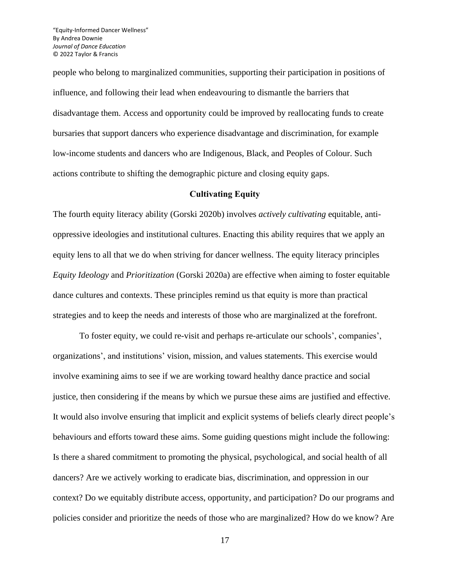people who belong to marginalized communities, supporting their participation in positions of influence, and following their lead when endeavouring to dismantle the barriers that disadvantage them. Access and opportunity could be improved by reallocating funds to create bursaries that support dancers who experience disadvantage and discrimination, for example low-income students and dancers who are Indigenous, Black, and Peoples of Colour. Such actions contribute to shifting the demographic picture and closing equity gaps.

#### **Cultivating Equity**

The fourth equity literacy ability (Gorski 2020b) involves *actively cultivating* equitable, antioppressive ideologies and institutional cultures. Enacting this ability requires that we apply an equity lens to all that we do when striving for dancer wellness. The equity literacy principles *Equity Ideology* and *Prioritization* (Gorski 2020a) are effective when aiming to foster equitable dance cultures and contexts. These principles remind us that equity is more than practical strategies and to keep the needs and interests of those who are marginalized at the forefront.

To foster equity, we could re-visit and perhaps re-articulate our schools', companies', organizations', and institutions' vision, mission, and values statements. This exercise would involve examining aims to see if we are working toward healthy dance practice and social justice, then considering if the means by which we pursue these aims are justified and effective. It would also involve ensuring that implicit and explicit systems of beliefs clearly direct people's behaviours and efforts toward these aims. Some guiding questions might include the following: Is there a shared commitment to promoting the physical, psychological, and social health of all dancers? Are we actively working to eradicate bias, discrimination, and oppression in our context? Do we equitably distribute access, opportunity, and participation? Do our programs and policies consider and prioritize the needs of those who are marginalized? How do we know? Are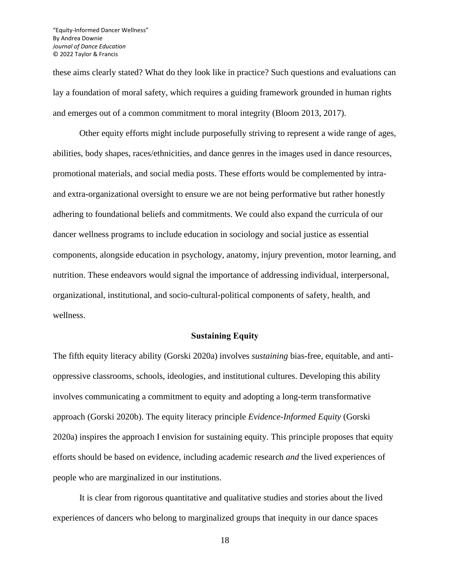these aims clearly stated? What do they look like in practice? Such questions and evaluations can lay a foundation of moral safety, which requires a guiding framework grounded in human rights and emerges out of a common commitment to moral integrity (Bloom 2013, 2017).

Other equity efforts might include purposefully striving to represent a wide range of ages, abilities, body shapes, races/ethnicities, and dance genres in the images used in dance resources, promotional materials, and social media posts. These efforts would be complemented by intraand extra-organizational oversight to ensure we are not being performative but rather honestly adhering to foundational beliefs and commitments. We could also expand the curricula of our dancer wellness programs to include education in sociology and social justice as essential components, alongside education in psychology, anatomy, injury prevention, motor learning, and nutrition. These endeavors would signal the importance of addressing individual, interpersonal, organizational, institutional, and socio-cultural-political components of safety, health, and wellness.

#### **Sustaining Equity**

The fifth equity literacy ability (Gorski 2020a) involves *sustaining* bias-free, equitable, and antioppressive classrooms, schools, ideologies, and institutional cultures. Developing this ability involves communicating a commitment to equity and adopting a long-term transformative approach (Gorski 2020b). The equity literacy principle *Evidence-Informed Equity* (Gorski 2020a) inspires the approach I envision for sustaining equity. This principle proposes that equity efforts should be based on evidence, including academic research *and* the lived experiences of people who are marginalized in our institutions.

It is clear from rigorous quantitative and qualitative studies and stories about the lived experiences of dancers who belong to marginalized groups that inequity in our dance spaces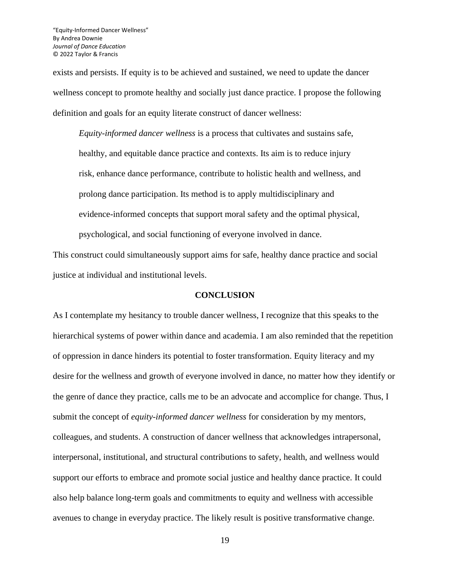exists and persists. If equity is to be achieved and sustained, we need to update the dancer wellness concept to promote healthy and socially just dance practice. I propose the following definition and goals for an equity literate construct of dancer wellness:

*Equity-informed dancer wellness* is a process that cultivates and sustains safe, healthy, and equitable dance practice and contexts. Its aim is to reduce injury risk, enhance dance performance, contribute to holistic health and wellness, and prolong dance participation. Its method is to apply multidisciplinary and evidence-informed concepts that support moral safety and the optimal physical, psychological, and social functioning of everyone involved in dance.

This construct could simultaneously support aims for safe, healthy dance practice and social justice at individual and institutional levels.

# **CONCLUSION**

As I contemplate my hesitancy to trouble dancer wellness, I recognize that this speaks to the hierarchical systems of power within dance and academia. I am also reminded that the repetition of oppression in dance hinders its potential to foster transformation. Equity literacy and my desire for the wellness and growth of everyone involved in dance, no matter how they identify or the genre of dance they practice, calls me to be an advocate and accomplice for change. Thus, I submit the concept of *equity-informed dancer wellness* for consideration by my mentors, colleagues, and students. A construction of dancer wellness that acknowledges intrapersonal, interpersonal, institutional, and structural contributions to safety, health, and wellness would support our efforts to embrace and promote social justice and healthy dance practice. It could also help balance long-term goals and commitments to equity and wellness with accessible avenues to change in everyday practice. The likely result is positive transformative change.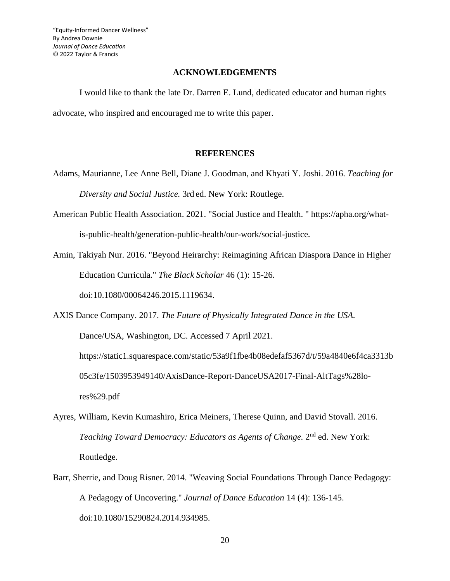# **ACKNOWLEDGEMENTS**

I would like to thank the late Dr. Darren E. Lund, dedicated educator and human rights advocate, who inspired and encouraged me to write this paper.

# **REFERENCES**

- Adams, Maurianne, Lee Anne Bell, Diane J. Goodman, and Khyati Y. Joshi. 2016. *Teaching for Diversity and Social Justice.* 3rd ed. New York: Routlege.
- American Public Health Association. 2021. "Social Justice and Health. " https://apha.org/whatis-public-health/generation-public-health/our-work/social-justice.
- Amin, Takiyah Nur. 2016. "Beyond Heirarchy: Reimagining African Diaspora Dance in Higher Education Curricula." *The Black Scholar* 46 (1): 15-26.

doi:10.1080/00064246.2015.1119634.

AXIS Dance Company. 2017. *The Future of Physically Integrated Dance in the USA.* Dance/USA, Washington, DC. Accessed 7 April 2021. https://static1.squarespace.com/static/53a9f1fbe4b08edefaf5367d/t/59a4840e6f4ca3313b 05c3fe/1503953949140/AxisDance-Report-DanceUSA2017-Final-AltTags%28lores%29.pdf

- Ayres, William, Kevin Kumashiro, Erica Meiners, Therese Quinn, and David Stovall. 2016. Teaching Toward Democracy: Educators as Agents of Change. 2<sup>nd</sup> ed. New York: Routledge.
- Barr, Sherrie, and Doug Risner. 2014. "Weaving Social Foundations Through Dance Pedagogy: A Pedagogy of Uncovering." *Journal of Dance Education* 14 (4): 136-145. doi:10.1080/15290824.2014.934985.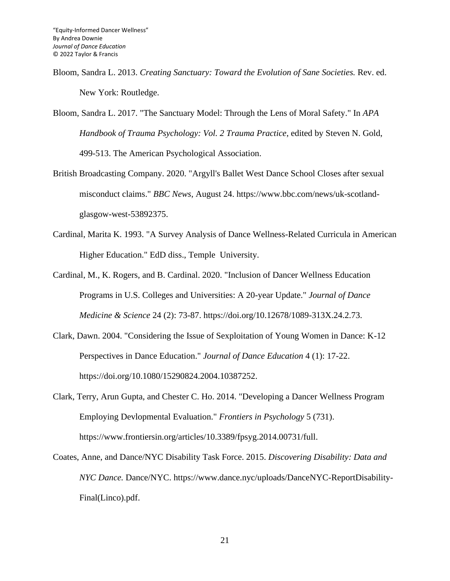- Bloom, Sandra L. 2013. *Creating Sanctuary: Toward the Evolution of Sane Societies.* Rev. ed. New York: Routledge.
- Bloom, Sandra L. 2017. "The Sanctuary Model: Through the Lens of Moral Safety." In *APA Handbook of Trauma Psychology: Vol. 2 Trauma Practice*, edited by Steven N. Gold, 499-513. The American Psychological Association.
- British Broadcasting Company. 2020. "Argyll's Ballet West Dance School Closes after sexual misconduct claims." *BBC News*, August 24. https://www.bbc.com/news/uk-scotlandglasgow-west-53892375.
- Cardinal, Marita K. 1993. "A Survey Analysis of Dance Wellness-Related Curricula in American Higher Education." EdD diss., Temple University.
- Cardinal, M., K. Rogers, and B. Cardinal. 2020. "Inclusion of Dancer Wellness Education Programs in U.S. Colleges and Universities: A 20-year Update." *Journal of Dance Medicine & Science* 24 (2): 73-87. https://doi.org/10.12678/1089-313X.24.2.73.
- Clark, Dawn. 2004. "Considering the Issue of Sexploitation of Young Women in Dance: K-12 Perspectives in Dance Education." *Journal of Dance Education* 4 (1): 17-22. https://doi.org/10.1080/15290824.2004.10387252.
- Clark, Terry, Arun Gupta, and Chester C. Ho. 2014. "Developing a Dancer Wellness Program Employing Devlopmental Evaluation." *Frontiers in Psychology* 5 (731). https://www.frontiersin.org/articles/10.3389/fpsyg.2014.00731/full.
- Coates, Anne, and Dance/NYC Disability Task Force. 2015. *Discovering Disability: Data and NYC Dance.* Dance/NYC. https://www.dance.nyc/uploads/DanceNYC-ReportDisability-Final(Linco).pdf.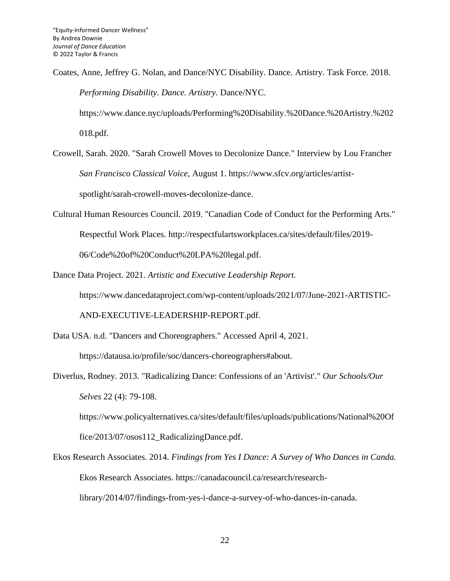Coates, Anne, Jeffrey G. Nolan, and Dance/NYC Disability. Dance. Artistry. Task Force. 2018. *Performing Disability. Dance. Artistry.* Dance/NYC.

https://www.dance.nyc/uploads/Performing%20Disability.%20Dance.%20Artistry.%202

018.pdf.

- Crowell, Sarah. 2020. "Sarah Crowell Moves to Decolonize Dance." Interview by Lou Francher *San Francisco Classical Voice*, August 1. https://www.sfcv.org/articles/artistspotlight/sarah-crowell-moves-decolonize-dance.
- Cultural Human Resources Council. 2019. "Canadian Code of Conduct for the Performing Arts." Respectful Work Places. http://respectfulartsworkplaces.ca/sites/default/files/2019- 06/Code%20of%20Conduct%20LPA%20legal.pdf.

Dance Data Project. 2021. *Artistic and Executive Leadership Report.* https://www.dancedataproject.com/wp-content/uploads/2021/07/June-2021-ARTISTIC-

AND-EXECUTIVE-LEADERSHIP-REPORT.pdf.

- Data USA. n.d. "Dancers and Choreographers." Accessed April 4, 2021. https://datausa.io/profile/soc/dancers-choreographers#about.
- Diverlus, Rodney. 2013. "Radicalizing Dance: Confessions of an 'Artivist'." *Our Schools/Our Selves* 22 (4): 79-108. https://www.policyalternatives.ca/sites/default/files/uploads/publications/National%20Of

fice/2013/07/osos112\_RadicalizingDance.pdf.

Ekos Research Associates. 2014. *Findings from Yes I Dance: A Survey of Who Dances in Canda.* Ekos Research Associates. https://canadacouncil.ca/research/researchlibrary/2014/07/findings-from-yes-i-dance-a-survey-of-who-dances-in-canada.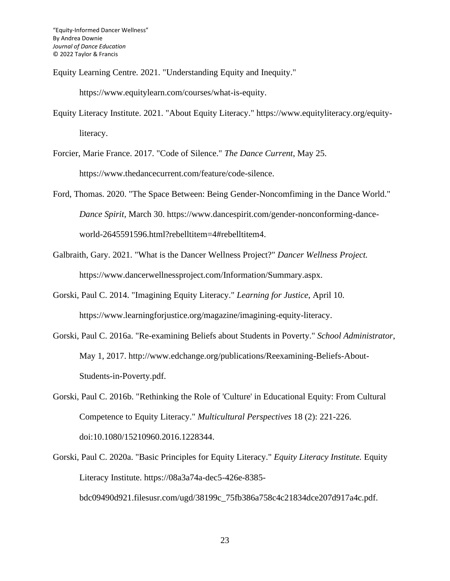Equity Learning Centre. 2021. "Understanding Equity and Inequity."

https://www.equitylearn.com/courses/what-is-equity.

Equity Literacy Institute. 2021. "About Equity Literacy." https://www.equityliteracy.org/equityliteracy.

Forcier, Marie France. 2017. "Code of Silence." *The Dance Current*, May 25. https://www.thedancecurrent.com/feature/code-silence.

Ford, Thomas. 2020. "The Space Between: Being Gender-Noncomfiming in the Dance World." *Dance Spirit*, March 30. https://www.dancespirit.com/gender-nonconforming-danceworld-2645591596.html?rebelltitem=4#rebelltitem4.

Galbraith, Gary. 2021. "What is the Dancer Wellness Project?" *Dancer Wellness Project.* https://www.dancerwellnessproject.com/Information/Summary.aspx.

- Gorski, Paul C. 2014. "Imagining Equity Literacy." *Learning for Justice*, April 10. https://www.learningforjustice.org/magazine/imagining-equity-literacy.
- Gorski, Paul C. 2016a. "Re-examining Beliefs about Students in Poverty." *School Administrator*, May 1, 2017. http://www.edchange.org/publications/Reexamining-Beliefs-About-Students-in-Poverty.pdf.
- Gorski, Paul C. 2016b. "Rethinking the Role of 'Culture' in Educational Equity: From Cultural Competence to Equity Literacy." *Multicultural Perspectives* 18 (2): 221-226. doi:10.1080/15210960.2016.1228344.
- Gorski, Paul C. 2020a. "Basic Principles for Equity Literacy." *Equity Literacy Institute.* Equity Literacy Institute. https://08a3a74a-dec5-426e-8385 bdc09490d921.filesusr.com/ugd/38199c\_75fb386a758c4c21834dce207d917a4c.pdf.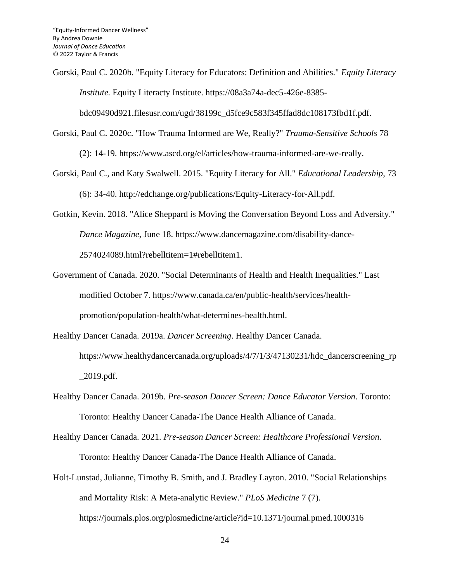Gorski, Paul C. 2020b. "Equity Literacy for Educators: Definition and Abilities." *Equity Literacy Institute.* Equity Literacty Institute. https://08a3a74a-dec5-426e-8385-

bdc09490d921.filesusr.com/ugd/38199c\_d5fce9c583f345ffad8dc108173fbd1f.pdf.

- Gorski, Paul C. 2020c. "How Trauma Informed are We, Really?" *Trauma-Sensitive Schools* 78 (2): 14-19. https://www.ascd.org/el/articles/how-trauma-informed-are-we-really.
- Gorski, Paul C., and Katy Swalwell. 2015. "Equity Literacy for All." *Educational Leadership*, 73 (6): 34-40. http://edchange.org/publications/Equity-Literacy-for-All.pdf.
- Gotkin, Kevin. 2018. "Alice Sheppard is Moving the Conversation Beyond Loss and Adversity." *Dance Magazine*, June 18. https://www.dancemagazine.com/disability-dance-2574024089.html?rebelltitem=1#rebelltitem1.
- Government of Canada. 2020. "Social Determinants of Health and Health Inequalities." Last modified October 7. https://www.canada.ca/en/public-health/services/healthpromotion/population-health/what-determines-health.html.
- Healthy Dancer Canada. 2019a. *Dancer Screening*. Healthy Dancer Canada*.* https://www.healthydancercanada.org/uploads/4/7/1/3/47130231/hdc\_dancerscreening\_rp \_2019.pdf.
- Healthy Dancer Canada. 2019b. *Pre-season Dancer Screen: Dance Educator Version*. Toronto: Toronto: Healthy Dancer Canada-The Dance Health Alliance of Canada.
- Healthy Dancer Canada. 2021. *Pre-season Dancer Screen: Healthcare Professional Version*. Toronto: Healthy Dancer Canada-The Dance Health Alliance of Canada.
- Holt-Lunstad, Julianne, Timothy B. Smith, and J. Bradley Layton. 2010. "Social Relationships and Mortality Risk: A Meta-analytic Review." *PLoS Medicine* 7 (7). https://journals.plos.org/plosmedicine/article?id=10.1371/journal.pmed.1000316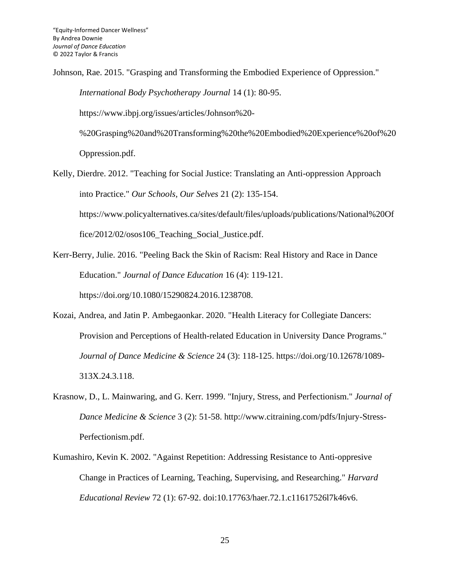Johnson, Rae. 2015. "Grasping and Transforming the Embodied Experience of Oppression." *International Body Psychotherapy Journal* 14 (1): 80-95. https://www.ibpj.org/issues/articles/Johnson%20- %20Grasping%20and%20Transforming%20the%20Embodied%20Experience%20of%20 Oppression.pdf.

Kelly, Dierdre. 2012. "Teaching for Social Justice: Translating an Anti-oppression Approach into Practice." *Our Schools, Our Selves* 21 (2): 135-154. https://www.policyalternatives.ca/sites/default/files/uploads/publications/National%20Of

fice/2012/02/osos106\_Teaching\_Social\_Justice.pdf.

- Kerr-Berry, Julie. 2016. "Peeling Back the Skin of Racism: Real History and Race in Dance Education." *Journal of Dance Education* 16 (4): 119-121. https://doi.org/10.1080/15290824.2016.1238708.
- Kozai, Andrea, and Jatin P. Ambegaonkar. 2020. "Health Literacy for Collegiate Dancers: Provision and Perceptions of Health-related Education in University Dance Programs." *Journal of Dance Medicine & Science* 24 (3): 118-125. https://doi.org/10.12678/1089- 313X.24.3.118.
- Krasnow, D., L. Mainwaring, and G. Kerr. 1999. "Injury, Stress, and Perfectionism." *Journal of Dance Medicine & Science* 3 (2): 51-58. http://www.citraining.com/pdfs/Injury-Stress-Perfectionism.pdf.
- Kumashiro, Kevin K. 2002. "Against Repetition: Addressing Resistance to Anti-oppresive Change in Practices of Learning, Teaching, Supervising, and Researching." *Harvard Educational Review* 72 (1): 67-92. doi:10.17763/haer.72.1.c11617526l7k46v6.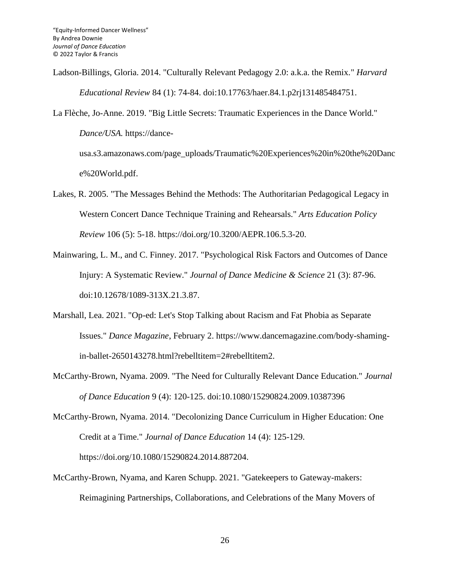- Ladson-Billings, Gloria. 2014. "Culturally Relevant Pedagogy 2.0: a.k.a. the Remix." *Harvard Educational Review* 84 (1): 74-84. doi:10.17763/haer.84.1.p2rj131485484751.
- La Flèche, Jo-Anne. 2019. "Big Little Secrets: Traumatic Experiences in the Dance World." *Dance/USA.* https://dance-

usa.s3.amazonaws.com/page\_uploads/Traumatic%20Experiences%20in%20the%20Danc e%20World.pdf.

- Lakes, R. 2005. "The Messages Behind the Methods: The Authoritarian Pedagogical Legacy in Western Concert Dance Technique Training and Rehearsals." *Arts Education Policy Review* 106 (5): 5-18. https://doi.org/10.3200/AEPR.106.5.3-20.
- Mainwaring, L. M., and C. Finney. 2017. "Psychological Risk Factors and Outcomes of Dance Injury: A Systematic Review." *Journal of Dance Medicine & Science* 21 (3): 87-96. doi:10.12678/1089-313X.21.3.87.
- Marshall, Lea. 2021. "Op-ed: Let's Stop Talking about Racism and Fat Phobia as Separate Issues." *Dance Magazine*, February 2. https://www.dancemagazine.com/body-shamingin-ballet-2650143278.html?rebelltitem=2#rebelltitem2.
- McCarthy-Brown, Nyama. 2009. "The Need for Culturally Relevant Dance Education." *Journal of Dance Education* 9 (4): 120-125. doi:10.1080/15290824.2009.10387396
- McCarthy-Brown, Nyama. 2014. "Decolonizing Dance Curriculum in Higher Education: One Credit at a Time." *Journal of Dance Education* 14 (4): 125-129. https://doi.org/10.1080/15290824.2014.887204.
- McCarthy-Brown, Nyama, and Karen Schupp. 2021. "Gatekeepers to Gateway-makers: Reimagining Partnerships, Collaborations, and Celebrations of the Many Movers of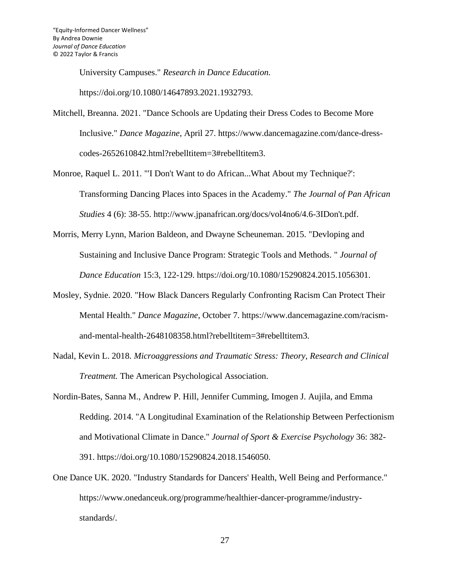University Campuses." *Research in Dance Education.*

https://doi.org/10.1080/14647893.2021.1932793.

- Mitchell, Breanna. 2021. "Dance Schools are Updating their Dress Codes to Become More Inclusive." *Dance Magazine*, April 27. https://www.dancemagazine.com/dance-dresscodes-2652610842.html?rebelltitem=3#rebelltitem3.
- Monroe, Raquel L. 2011. "'I Don't Want to do African...What About my Technique?': Transforming Dancing Places into Spaces in the Academy." *The Journal of Pan African Studies* 4 (6): 38-55. http://www.jpanafrican.org/docs/vol4no6/4.6-3IDon't.pdf.
- Morris, Merry Lynn, Marion Baldeon, and Dwayne Scheuneman. 2015. "Devloping and Sustaining and Inclusive Dance Program: Strategic Tools and Methods. " *Journal of Dance Education* 15:3, 122-129. https://doi.org/10.1080/15290824.2015.1056301.
- Mosley, Sydnie. 2020. "How Black Dancers Regularly Confronting Racism Can Protect Their Mental Health." *Dance Magazine*, October 7. https://www.dancemagazine.com/racismand-mental-health-2648108358.html?rebelltitem=3#rebelltitem3.
- Nadal, Kevin L. 2018. *Microaggressions and Traumatic Stress: Theory, Research and Clinical Treatment.* The American Psychological Association.
- Nordin-Bates, Sanna M., Andrew P. Hill, Jennifer Cumming, Imogen J. Aujila, and Emma Redding. 2014. "A Longitudinal Examination of the Relationship Between Perfectionism and Motivational Climate in Dance." *Journal of Sport & Exercise Psychology* 36: 382- 391. https://doi.org/10.1080/15290824.2018.1546050.
- One Dance UK. 2020. "Industry Standards for Dancers' Health, Well Being and Performance." https://www.onedanceuk.org/programme/healthier-dancer-programme/industrystandards/.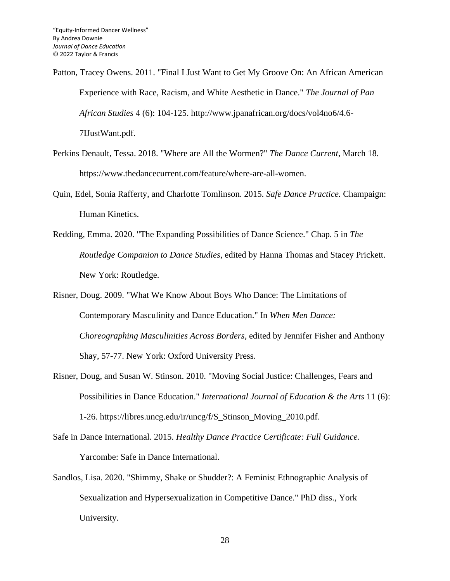Patton, Tracey Owens. 2011. "Final I Just Want to Get My Groove On: An African American Experience with Race, Racism, and White Aesthetic in Dance." *The Journal of Pan African Studies* 4 (6): 104-125. http://www.jpanafrican.org/docs/vol4no6/4.6- 7IJustWant.pdf.

- Perkins Denault, Tessa. 2018. "Where are All the Wormen?" *The Dance Current*, March 18. https://www.thedancecurrent.com/feature/where-are-all-women.
- Quin, Edel, Sonia Rafferty, and Charlotte Tomlinson. 2015. *Safe Dance Practice.* Champaign: Human Kinetics.
- Redding, Emma. 2020. "The Expanding Possibilities of Dance Science." Chap. 5 in *The Routledge Companion to Dance Studies*, edited by Hanna Thomas and Stacey Prickett. New York: Routledge.

Risner, Doug. 2009. "What We Know About Boys Who Dance: The Limitations of Contemporary Masculinity and Dance Education." In *When Men Dance: Choreographing Masculinities Across Borders*, edited by Jennifer Fisher and Anthony Shay, 57-77. New York: Oxford University Press.

- Risner, Doug, and Susan W. Stinson. 2010. "Moving Social Justice: Challenges, Fears and Possibilities in Dance Education." *International Journal of Education & the Arts* 11 (6): 1-26. https://libres.uncg.edu/ir/uncg/f/S\_Stinson\_Moving\_2010.pdf.
- Safe in Dance International. 2015. *Healthy Dance Practice Certificate: Full Guidance.* Yarcombe: Safe in Dance International.
- Sandlos, Lisa. 2020. "Shimmy, Shake or Shudder?: A Feminist Ethnographic Analysis of Sexualization and Hypersexualization in Competitive Dance." PhD diss., York University.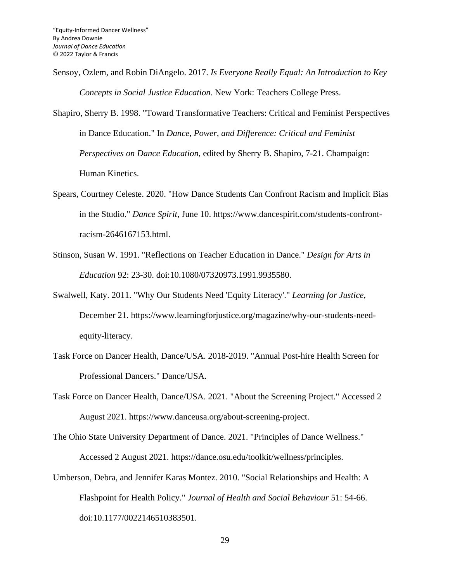Sensoy, Ozlem, and Robin DiAngelo. 2017. *Is Everyone Really Equal: An Introduction to Key Concepts in Social Justice Education*. New York: Teachers College Press.

Shapiro, Sherry B. 1998. "Toward Transformative Teachers: Critical and Feminist Perspectives in Dance Education." In *Dance, Power, and Difference: Critical and Feminist Perspectives on Dance Education*, edited by Sherry B. Shapiro, 7-21. Champaign: Human Kinetics.

- Spears, Courtney Celeste. 2020. "How Dance Students Can Confront Racism and Implicit Bias in the Studio." *Dance Spirit*, June 10. https://www.dancespirit.com/students-confrontracism-2646167153.html.
- Stinson, Susan W. 1991. "Reflections on Teacher Education in Dance." *Design for Arts in Education* 92: 23-30. doi:10.1080/07320973.1991.9935580.
- Swalwell, Katy. 2011. "Why Our Students Need 'Equity Literacy'." *Learning for Justice*, December 21. https://www.learningforjustice.org/magazine/why-our-students-needequity-literacy.
- Task Force on Dancer Health, Dance/USA. 2018-2019. "Annual Post-hire Health Screen for Professional Dancers." Dance/USA.
- Task Force on Dancer Health, Dance/USA. 2021. "About the Screening Project." Accessed 2 August 2021. https://www.danceusa.org/about-screening-project.
- The Ohio State University Department of Dance. 2021. "Principles of Dance Wellness." Accessed 2 August 2021. https://dance.osu.edu/toolkit/wellness/principles.
- Umberson, Debra, and Jennifer Karas Montez. 2010. "Social Relationships and Health: A Flashpoint for Health Policy." *Journal of Health and Social Behaviour* 51: 54-66. doi:10.1177/0022146510383501.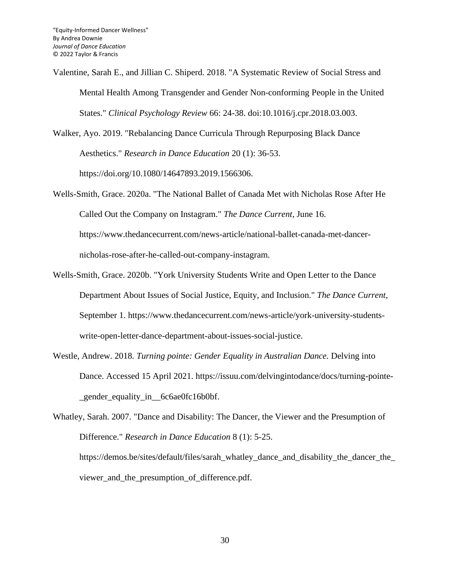Valentine, Sarah E., and Jillian C. Shiperd. 2018. "A Systematic Review of Social Stress and Mental Health Among Transgender and Gender Non-conforming People in the United States." *Clinical Psychology Review* 66: 24-38. doi:10.1016/j.cpr.2018.03.003.

Walker, Ayo. 2019. "Rebalancing Dance Curricula Through Repurposing Black Dance Aesthetics." *Research in Dance Education* 20 (1): 36-53.

https://doi.org/10.1080/14647893.2019.1566306.

Wells-Smith, Grace. 2020a. "The National Ballet of Canada Met with Nicholas Rose After He Called Out the Company on Instagram." *The Dance Current*, June 16.

https://www.thedancecurrent.com/news-article/national-ballet-canada-met-dancernicholas-rose-after-he-called-out-company-instagram.

- Wells-Smith, Grace. 2020b. "York University Students Write and Open Letter to the Dance Department About Issues of Social Justice, Equity, and Inclusion." *The Dance Current*, September 1. https://www.thedancecurrent.com/news-article/york-university-studentswrite-open-letter-dance-department-about-issues-social-justice.
- Westle, Andrew. 2018. *Turning pointe: Gender Equality in Australian Dance.* Delving into Dance. Accessed 15 April 2021. https://issuu.com/delvingintodance/docs/turning-pointe gender equality in 6c6ae0fc16b0bf.

Whatley, Sarah. 2007. "Dance and Disability: The Dancer, the Viewer and the Presumption of Difference." *Research in Dance Education* 8 (1): 5-25. https://demos.be/sites/default/files/sarah\_whatley\_dance\_and\_disability\_the\_dancer\_the\_ viewer and the presumption of difference.pdf.